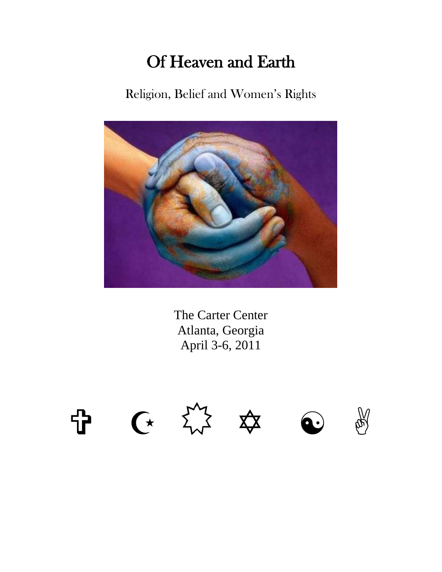## Of Heaven and Earth

Religion, Belief and Women's Rights



The Carter Center Atlanta, Georgia April 3-6, 2011

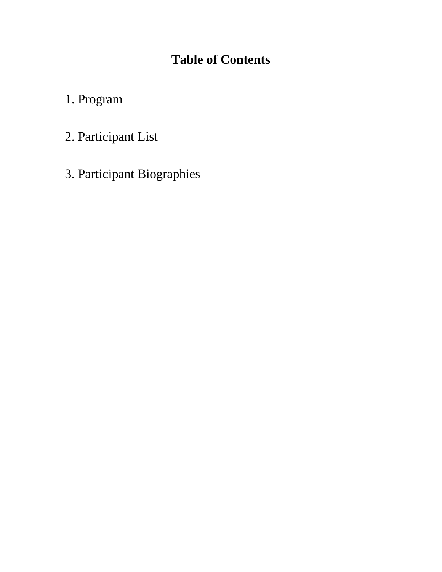## **Table of Contents**

- 1. Program
- 2. Participant List
- 3. Participant Biographies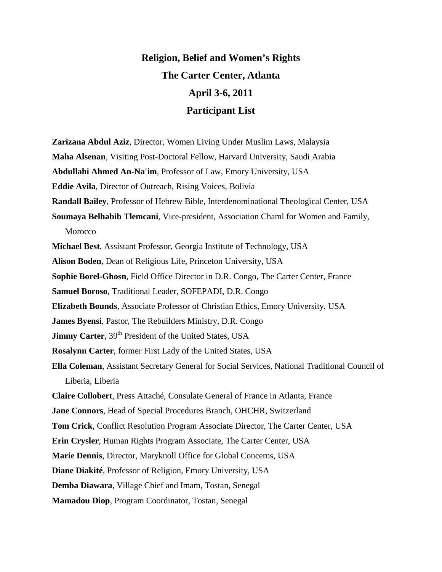## **Religion, Belief and Women's Rights The Carter Center, Atlanta April 3-6, 2011 Participant List**

**Zarizana Abdul Aziz**, Director, Women Living Under Muslim Laws, Malaysia **Maha Alsenan**, Visiting Post-Doctoral Fellow, Harvard University, Saudi Arabia **Abdullahi Ahmed An-Na'im**, Professor of Law, Emory University, USA **Eddie Avila**, Director of Outreach, Rising Voices, Bolivia **Randall Bailey**, Professor of Hebrew Bible, Interdenominational Theological Center, USA **Soumaya Belhabib Tlemcani**, Vice-president, Association Chaml for Women and Family, **Morocco Michael Best**, Assistant Professor, Georgia Institute of Technology, USA **Alison Boden**, Dean of Religious Life, Princeton University, USA **Sophie Borel-Ghosn**, Field Office Director in D.R. Congo, The Carter Center, France **Samuel Boroso**, Traditional Leader, SOFEPADI, D.R. Congo **Elizabeth Bounds**, Associate Professor of Christian Ethics, Emory University, USA **James Byensi**, Pastor, The Rebuilders Ministry, D.R. Congo **Jimmy Carter**, 39<sup>th</sup> President of the United States, USA **Rosalynn Carter**, former First Lady of the United States, USA **Ella Coleman**, Assistant Secretary General for Social Services, National Traditional Council of Liberia, Liberia **Claire Collobert**, Press Attaché, Consulate General of France in Atlanta, France **Jane Connors**, Head of Special Procedures Branch, OHCHR, Switzerland **Tom Crick**, Conflict Resolution Program Associate Director, The Carter Center, USA **Erin Crysler**, Human Rights Program Associate, The Carter Center, USA **Marie Dennis**, Director, Maryknoll Office for Global Concerns, USA **Diane Diakité**, Professor of Religion, Emory University, USA **Demba Diawara**, Village Chief and Imam, Tostan, Senegal **Mamadou Diop**, Program Coordinator, Tostan, Senegal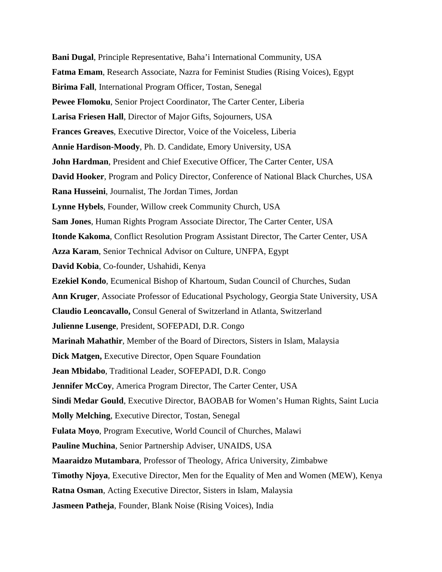**Bani Dugal**, Principle Representative, Baha'i International Community, USA **Fatma Emam**, Research Associate, Nazra for Feminist Studies (Rising Voices), Egypt **Birima Fall**, International Program Officer, Tostan, Senegal **Pewee Flomoku**, Senior Project Coordinator, The Carter Center, Liberia **Larisa Friesen Hall**, Director of Major Gifts, Sojourners, USA **Frances Greaves**, Executive Director, Voice of the Voiceless, Liberia **Annie Hardison-Moody**, Ph. D. Candidate, Emory University, USA **John Hardman**, President and Chief Executive Officer, The Carter Center, USA **David Hooker**, Program and Policy Director, Conference of National Black Churches, USA **Rana Husseini**, Journalist, The Jordan Times, Jordan **Lynne Hybels**, Founder, Willow creek Community Church, USA **Sam Jones**, Human Rights Program Associate Director, The Carter Center, USA **Itonde Kakoma**, Conflict Resolution Program Assistant Director, The Carter Center, USA **Azza Karam**, Senior Technical Advisor on Culture, UNFPA, Egypt **David Kobia**, Co-founder, Ushahidi, Kenya **Ezekiel Kondo**, Ecumenical Bishop of Khartoum, Sudan Council of Churches, Sudan **Ann Kruger**, Associate Professor of Educational Psychology, Georgia State University, USA **Claudio Leoncavallo,** Consul General of Switzerland in Atlanta, Switzerland **Julienne Lusenge**, President, SOFEPADI, D.R. Congo **Marinah Mahathir**, Member of the Board of Directors, Sisters in Islam, Malaysia **Dick Matgen, Executive Director, Open Square Foundation Jean Mbidabo**, Traditional Leader, SOFEPADI, D.R. Congo **Jennifer McCoy**, America Program Director, The Carter Center, USA **Sindi Medar Gould**, Executive Director, BAOBAB for Women's Human Rights, Saint Lucia **Molly Melching**, Executive Director, Tostan, Senegal **Fulata Moyo**, Program Executive, World Council of Churches, Malawi **Pauline Muchina**, Senior Partnership Adviser, UNAIDS, USA **Maaraidzo Mutambara**, Professor of Theology, Africa University, Zimbabwe **Timothy Njoya**, Executive Director, Men for the Equality of Men and Women (MEW), Kenya **Ratna Osman**, Acting Executive Director, Sisters in Islam, Malaysia **Jasmeen Patheja**, Founder, Blank Noise (Rising Voices), India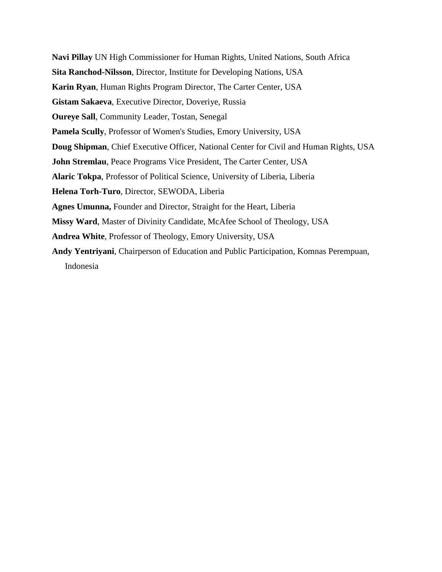**Navi Pillay** UN High Commissioner for Human Rights, United Nations, South Africa **Sita Ranchod-Nilsson**, Director, Institute for Developing Nations, USA **Karin Ryan**, Human Rights Program Director, The Carter Center, USA **Gistam Sakaeva**, Executive Director, Doveriye, Russia **Oureye Sall**, Community Leader, Tostan, Senegal **Pamela Scully**, Professor of Women's Studies, Emory University, USA **Doug Shipman**, Chief Executive Officer, National Center for Civil and Human Rights, USA **John Stremlau**, Peace Programs Vice President, The Carter Center, USA **Alaric Tokpa**, Professor of Political Science, University of Liberia, Liberia **Helena Torh-Turo**, Director, SEWODA, Liberia **Agnes Umunna,** Founder and Director, Straight for the Heart, Liberia **Missy Ward**, Master of Divinity Candidate, McAfee School of Theology, USA **Andrea White**, Professor of Theology, Emory University, USA **Andy Yentriyani**, Chairperson of Education and Public Participation, Komnas Perempuan, Indonesia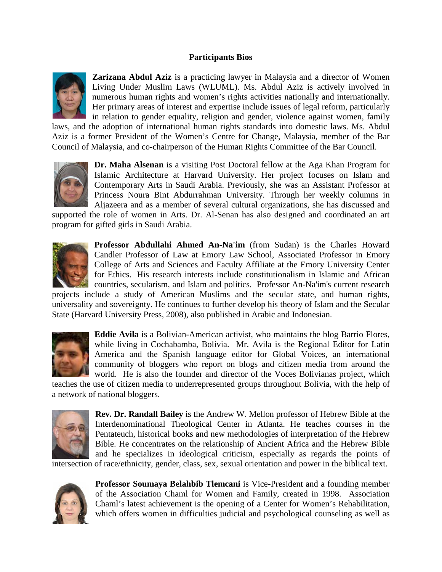## **Participants Bios**



**Zarizana Abdul Aziz** is a practicing lawyer in Malaysia and a director of Women Living Under Muslim Laws (WLUML). Ms. Abdul Aziz is actively involved in numerous human rights and women's rights activities nationally and internationally. Her primary areas of interest and expertise include issues of legal reform, particularly in relation to gender equality, religion and gender, violence against women, family

laws, and the adoption of international human rights standards into domestic laws. Ms. Abdul Aziz is a former President of the Women's Centre for Change, Malaysia, member of the Bar Council of Malaysia, and co-chairperson of the Human Rights Committee of the Bar Council.



**Dr. Maha Alsenan** is a visiting Post Doctoral fellow at the Aga Khan Program for Islamic Architecture at Harvard University. Her project focuses on Islam and Contemporary Arts in Saudi Arabia. Previously, she was an Assistant Professor at Princess Noura Bint Abdurrahman University. Through her weekly columns in Aljazeera and as a member of several cultural organizations, she has discussed and

supported the role of women in Arts. Dr. Al-Senan has also designed and coordinated an art program for gifted girls in Saudi Arabia.



**Professor Abdullahi Ahmed An-Na'im** (from Sudan) is the Charles Howard Candler Professor of Law at Emory Law School, Associated Professor in Emory College of Arts and Sciences and Faculty Affiliate at the Emory University Center for Ethics. His research interests include constitutionalism in Islamic and African countries, secularism, and Islam and politics. Professor An-Na'im's current research

projects include a study of American Muslims and the secular state, and human rights, universality and sovereignty. He continues to further develop his theory of Islam and the Secular State (Harvard University Press, 2008), also published in Arabic and Indonesian.



**Eddie Avila** is a Bolivian-American activist, who maintains the blog Barrio Flores, while living in Cochabamba, Bolivia. Mr. Avila is the Regional Editor for Latin America and the Spanish language editor for Global Voices, an international community of bloggers who report on blogs and citizen media from around the world. He is also the founder and director of the Voces Bolivianas project, which

teaches the use of citizen media to underrepresented groups throughout Bolivia, with the help of a network of national bloggers.



**Rev. Dr. Randall Bailey** is the Andrew W. Mellon professor of Hebrew Bible at the Interdenominational Theological Center in Atlanta. He teaches courses in the Pentateuch, historical books and new methodologies of interpretation of the Hebrew Bible. He concentrates on the relationship of Ancient Africa and the Hebrew Bible and he specializes in ideological criticism, especially as regards the points of

intersection of race/ethnicity, gender, class, sex, sexual orientation and power in the biblical text.



**Professor Soumaya Belahbib Tlemcani** is Vice-President and a founding member of the Association Chaml for Women and Family, created in 1998. Association Chaml's latest achievement is the opening of a Center for Women's Rehabilitation, which offers women in difficulties judicial and psychological counseling as well as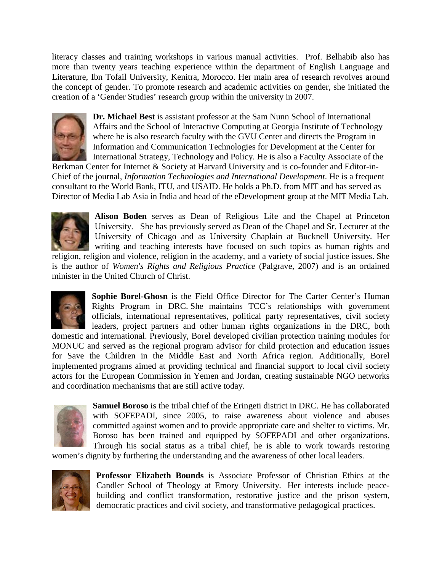literacy classes and training workshops in various manual activities. Prof. Belhabib also has more than twenty years teaching experience within the department of English Language and Literature, Ibn Tofail University, Kenitra, Morocco. Her main area of research revolves around the concept of gender. To promote research and academic activities on gender, she initiated the creation of a 'Gender Studies' research group within the university in 2007.



**Dr. Michael Best** is assistant professor at the Sam Nunn School of International Affairs and the School of Interactive Computing at Georgia Institute of Technology where he is also research faculty with the GVU Center and directs the Program in Information and Communication Technologies for Development at the Center for International Strategy, Technology and Policy. He is also a Faculty Associate of the

Berkman Center for Internet & Society at Harvard University and is co-founder and Editor-in-Chief of the journal, *Information Technologies and International Development*. He is a frequent consultant to the World Bank, ITU, and USAID. He holds a Ph.D. from MIT and has served as Director of Media Lab Asia in India and head of the eDevelopment group at the MIT Media Lab.



**Alison Boden** serves as Dean of Religious Life and the Chapel at Princeton University. She has previously served as Dean of the Chapel and Sr. Lecturer at the University of Chicago and as University Chaplain at Bucknell University. Her writing and teaching interests have focused on such topics as human rights and

religion, religion and violence, religion in the academy, and a variety of social justice issues. She is the author of *Women's Rights and Religious Practice* (Palgrave, 2007) and is an ordained minister in the United Church of Christ.



**Sophie Borel-Ghosn** is the Field Office Director for The Carter Center's Human Rights Program in DRC. She maintains TCC's relationships with government officials, international representatives, political party representatives, civil society leaders, project partners and other human rights organizations in the DRC, both

domestic and international. Previously, Borel developed civilian protection training modules for MONUC and served as the regional program advisor for child protection and education issues for Save the Children in the Middle East and North Africa region. Additionally, Borel implemented programs aimed at providing technical and financial support to local civil society actors for the European Commission in Yemen and Jordan, creating sustainable NGO networks and coordination mechanisms that are still active today.



**Samuel Boroso** is the tribal chief of the Eringeti district in DRC. He has collaborated with SOFEPADI, since 2005, to raise awareness about violence and abuses committed against women and to provide appropriate care and shelter to victims. Mr. Boroso has been trained and equipped by SOFEPADI and other organizations. Through his social status as a tribal chief, he is able to work towards restoring

women's dignity by furthering the understanding and the awareness of other local leaders.



**Professor Elizabeth Bounds** is Associate Professor of Christian Ethics at the Candler School of Theology at Emory University. Her interests include peacebuilding and conflict transformation, restorative justice and the prison system, democratic practices and civil society, and transformative pedagogical practices.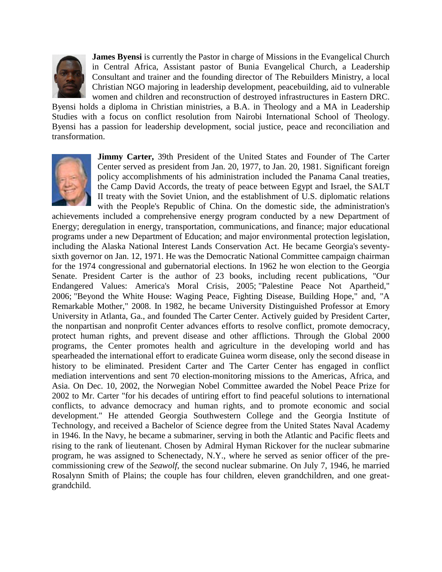

**James Byensi** is currently the Pastor in charge of Missions in the Evangelical Church in Central Africa, Assistant pastor of Bunia Evangelical Church, a Leadership Consultant and trainer and the founding director of The Rebuilders Ministry, a local Christian NGO majoring in leadership development, peacebuilding, aid to vulnerable women and children and reconstruction of destroyed infrastructures in Eastern DRC.

Byensi holds a diploma in Christian ministries, a B.A. in Theology and a MA in Leadership Studies with a focus on conflict resolution from Nairobi International School of Theology. Byensi has a passion for leadership development, social justice, peace and reconciliation and transformation.



**Jimmy Carter,** 39th President of the United States and Founder of The Carter Center served as president from Jan. 20, 1977, to Jan. 20, 1981. Significant foreign policy accomplishments of his administration included the Panama Canal treaties, the Camp David Accords, the treaty of peace between Egypt and Israel, the SALT II treaty with the Soviet Union, and the establishment of U.S. diplomatic relations with the People's Republic of China. On the domestic side, the administration's

achievements included a comprehensive energy program conducted by a new Department of Energy; deregulation in energy, transportation, communications, and finance; major educational programs under a new Department of Education; and major environmental protection legislation, including the Alaska National Interest Lands Conservation Act. He became Georgia's seventysixth governor on Jan. 12, 1971. He was the Democratic National Committee campaign chairman for the 1974 congressional and gubernatorial elections. In 1962 he won election to the Georgia Senate. President Carter is the author of 23 books, including recent publications, "Our Endangered Values: America's Moral Crisis, 2005; "Palestine Peace Not Apartheid," 2006; "Beyond the White House: Waging Peace, Fighting Disease, Building Hope," and, "A Remarkable Mother," 2008. In 1982, he became University Distinguished Professor at Emory University in Atlanta, Ga., and founded The Carter Center. Actively guided by President Carter, the nonpartisan and nonprofit Center advances efforts to resolve conflict, promote democracy, protect human rights, and prevent disease and other afflictions. Through the Global 2000 programs, the Center promotes health and agriculture in the developing world and has spearheaded the international effort to eradicate Guinea worm disease, only the second disease in history to be eliminated. President Carter and The Carter Center has engaged in conflict mediation interventions and sent 70 election-monitoring missions to the Americas, Africa, and Asia. On Dec. 10, 2002, the Norwegian Nobel Committee awarded the Nobel Peace Prize for 2002 to Mr. Carter "for his decades of untiring effort to find peaceful solutions to international conflicts, to advance democracy and human rights, and to promote economic and social development." He attended Georgia Southwestern College and the Georgia Institute of Technology, and received a Bachelor of Science degree from the United States Naval Academy in 1946. In the Navy, he became a submariner, serving in both the Atlantic and Pacific fleets and rising to the rank of lieutenant. Chosen by Admiral Hyman Rickover for the nuclear submarine program, he was assigned to Schenectady, N.Y., where he served as senior officer of the precommissioning crew of the *Seawolf*, the second nuclear submarine. On July 7, 1946, he married Rosalynn Smith of Plains; the couple has four children, eleven grandchildren, and one greatgrandchild.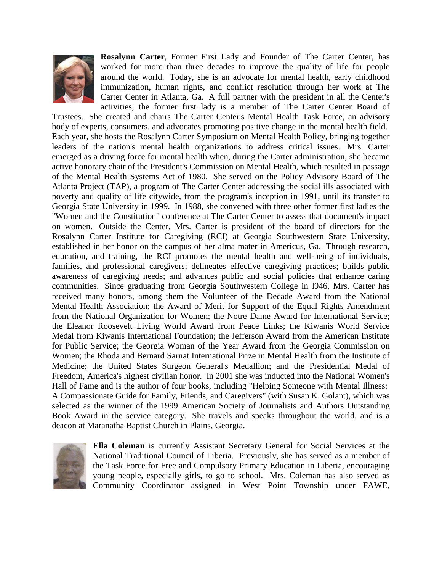

**Rosalynn Carter**, Former First Lady and Founder of The Carter Center, has worked for more than three decades to improve the quality of life for people around the world. Today, she is an advocate for mental health, early childhood immunization, human rights, and conflict resolution through her work at The Carter Center in Atlanta, Ga. A full partner with the president in all the Center's activities, the former first lady is a member of The Carter Center Board of

Trustees. She created and chairs The Carter Center's Mental Health Task Force, an advisory body of experts, consumers, and advocates promoting positive change in the mental health field. Each year, she hosts the Rosalynn Carter Symposium on Mental Health Policy, bringing together leaders of the nation's mental health organizations to address critical issues. Mrs. Carter emerged as a driving force for mental health when, during the Carter administration, she became active honorary chair of the President's Commission on Mental Health, which resulted in passage of the Mental Health Systems Act of 1980. She served on the Policy Advisory Board of The Atlanta Project (TAP), a program of The Carter Center addressing the social ills associated with poverty and quality of life citywide, from the program's inception in 1991, until its transfer to Georgia State University in 1999. In 1988, she convened with three other former first ladies the "Women and the Constitution" conference at The Carter Center to assess that document's impact on women. Outside the Center, Mrs. Carter is president of the board of directors for the Rosalynn Carter Institute for Caregiving (RCI) at Georgia Southwestern State University, established in her honor on the campus of her alma mater in Americus, Ga. Through research, education, and training, the RCI promotes the mental health and well-being of individuals, families, and professional caregivers; delineates effective caregiving practices; builds public awareness of caregiving needs; and advances public and social policies that enhance caring communities. Since graduating from Georgia Southwestern College in l946, Mrs. Carter has received many honors, among them the Volunteer of the Decade Award from the National Mental Health Association; the Award of Merit for Support of the Equal Rights Amendment from the National Organization for Women; the Notre Dame Award for International Service; the Eleanor Roosevelt Living World Award from Peace Links; the Kiwanis World Service Medal from Kiwanis International Foundation; the Jefferson Award from the American Institute for Public Service; the Georgia Woman of the Year Award from the Georgia Commission on Women; the Rhoda and Bernard Sarnat International Prize in Mental Health from the Institute of Medicine; the United States Surgeon General's Medallion; and the Presidential Medal of Freedom, America's highest civilian honor. In 2001 she was inducted into the National Women's Hall of Fame and is the author of four books, including "Helping Someone with Mental Illness: A Compassionate Guide for Family, Friends, and Caregivers" (with Susan K. Golant), which was selected as the winner of the 1999 American Society of Journalists and Authors Outstanding Book Award in the service category. She travels and speaks throughout the world, and is a deacon at Maranatha Baptist Church in Plains, Georgia.



**Ella Coleman** is currently Assistant Secretary General for Social Services at the National Traditional Council of Liberia. Previously, she has served as a member of the Task Force for Free and Compulsory Primary Education in Liberia, encouraging young people, especially girls, to go to school. Mrs. Coleman has also served as Community Coordinator assigned in West Point Township under FAWE,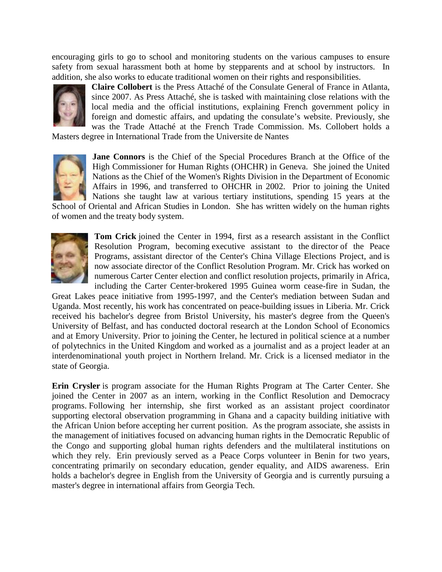encouraging girls to go to school and monitoring students on the various campuses to ensure safety from sexual harassment both at home by stepparents and at school by instructors. In addition, she also works to educate traditional women on their rights and responsibilities.



**Claire Collobert** is the Press Attaché of the Consulate General of France in Atlanta, since 2007. As Press Attaché, she is tasked with maintaining close relations with the local media and the official institutions, explaining French government policy in foreign and domestic affairs, and updating the consulate's website. Previously, she was the Trade Attaché at the French Trade Commission. Ms. Collobert holds a

Masters degree in International Trade from the Universite de Nantes



**Jane Connors** is the Chief of the Special Procedures Branch at the Office of the High Commissioner for Human Rights (OHCHR) in Geneva. She joined the United Nations as the Chief of the Women's Rights Division in the Department of Economic Affairs in 1996, and transferred to OHCHR in 2002. Prior to joining the United Nations she taught law at various tertiary institutions, spending 15 years at the

School of Oriental and African Studies in London. She has written widely on the human rights of women and the treaty body system.



**Tom Crick** joined the Center in 1994, first as a research assistant in the Conflict Resolution Program, becoming executive assistant to the director of the Peace Programs, assistant director of the Center's China Village Elections Project, and is now associate director of the Conflict Resolution Program. Mr. Crick has worked on numerous Carter Center election and conflict resolution projects, primarily in Africa, including the Carter Center-brokered 1995 Guinea worm cease-fire in Sudan, the

Great Lakes peace initiative from 1995-1997, and the Center's mediation between Sudan and Uganda. Most recently, his work has concentrated on peace-building issues in Liberia. Mr. Crick received his bachelor's degree from Bristol University, his master's degree from the Queen's University of Belfast, and has conducted doctoral research at the London School of Economics and at Emory University. Prior to joining the Center, he lectured in political science at a number of polytechnics in the United Kingdom and worked as a journalist and as a project leader at an interdenominational youth project in Northern Ireland. Mr. Crick is a licensed mediator in the state of Georgia.

**Erin Crysler** is program associate for the Human Rights Program at The Carter Center. She joined the Center in 2007 as an intern, working in the Conflict Resolution and Democracy programs. Following her internship, she first worked as an assistant project coordinator supporting electoral observation programming in Ghana and a capacity building initiative with the African Union before accepting her current position. As the program associate, she assists in the management of initiatives focused on advancing human rights in the Democratic Republic of the Congo and supporting global human rights defenders and the multilateral institutions on which they rely. Erin previously served as a Peace Corps volunteer in Benin for two years, concentrating primarily on secondary education, gender equality, and AIDS awareness. Erin holds a bachelor's degree in English from the University of Georgia and is currently pursuing a master's degree in international affairs from Georgia Tech.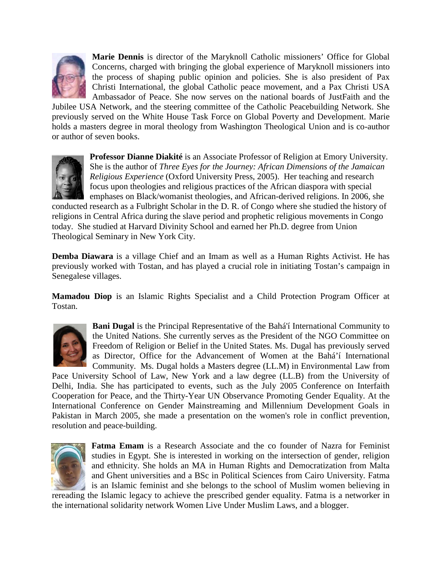

**Marie Dennis** is director of the Maryknoll Catholic missioners' Office for Global Concerns, charged with bringing the global experience of Maryknoll missioners into the process of shaping public opinion and policies. She is also president of Pax Christi International, the global Catholic peace movement, and a Pax Christi USA Ambassador of Peace. She now serves on the national boards of JustFaith and the

Jubilee USA Network, and the steering committee of the Catholic Peacebuilding Network. She previously served on the White House Task Force on Global Poverty and Development. Marie holds a masters degree in moral theology from Washington Theological Union and is co-author or author of seven books.



**Professor Dianne Diakité** is an Associate Professor of Religion at Emory University. She is the author of *Three Eyes for the Journey: African Dimensions of the Jamaican Religious Experience* (Oxford University Press, 2005). Her teaching and research focus upon theologies and religious practices of the African diaspora with special emphases on Black/womanist theologies, and African-derived religions. In 2006, she

conducted research as a Fulbright Scholar in the D. R. of Congo where she studied the history of religions in Central Africa during the slave period and prophetic religious movements in Congo today. She studied at Harvard Divinity School and earned her Ph.D. degree from Union Theological Seminary in New York City.

**Demba Diawara** is a village Chief and an Imam as well as a Human Rights Activist. He has previously worked with Tostan, and has played a crucial role in initiating Tostan's campaign in Senegalese villages.

**Mamadou Diop** is an Islamic Rights Specialist and a Child Protection Program Officer at Tostan.



**Bani Dugal** is the Principal Representative of the Bahá'í International Community to the United Nations. She currently serves as the President of the NGO Committee on Freedom of Religion or Belief in the United States. Ms. Dugal has previously served as Director, Office for the Advancement of Women at the Bahá'í International Community. Ms. Dugal holds a Masters degree (LL.M) in Environmental Law from

Pace University School of Law, New York and a law degree (LL.B) from the University of Delhi, India. She has participated to events, such as the July 2005 Conference on Interfaith Cooperation for Peace, and the Thirty-Year UN Observance Promoting Gender Equality. At the International Conference on Gender Mainstreaming and Millennium Development Goals in Pakistan in March 2005, she made a presentation on the women's role in conflict prevention, resolution and peace-building.



**Fatma Emam** is a Research Associate and the co founder of Nazra for Feminist studies in Egypt. She is interested in working on the intersection of gender, religion and ethnicity. She holds an MA in Human Rights and Democratization from Malta and Ghent universities and a BSc in Political Sciences from Cairo University. Fatma is an Islamic feminist and she belongs to the school of Muslim women believing in

rereading the Islamic legacy to achieve the prescribed gender equality. Fatma is a networker in the international solidarity network Women Live Under Muslim Laws, and a blogger.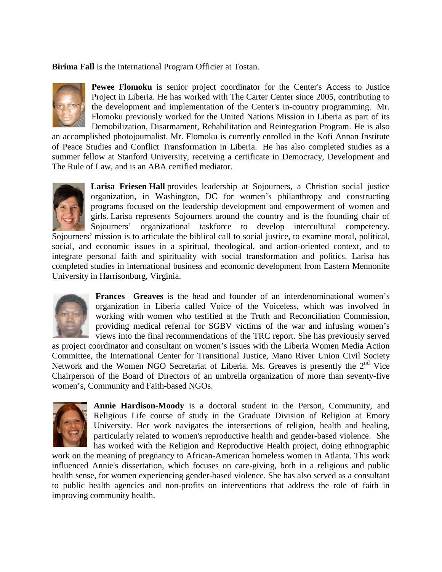**Birima Fall** is the International Program Officier at Tostan.



**Pewee Flomoku** is senior project coordinator for the Center's Access to Justice Project in Liberia. He has worked with The Carter Center since 2005, contributing to the development and implementation of the Center's in-country programming. Mr. Flomoku previously worked for the United Nations Mission in Liberia as part of its Demobilization, Disarmament, Rehabilitation and Reintegration Program. He is also

an accomplished photojournalist. Mr. Flomoku is currently enrolled in the Kofi Annan Institute of Peace Studies and Conflict Transformation in Liberia. He has also completed studies as a summer fellow at Stanford University, receiving a certificate in Democracy, Development and The Rule of Law, and is an ABA certified mediator.



**Larisa Friesen Hall** provides leadership at Sojourners, a Christian social justice organization, in Washington, DC for women's philanthropy and constructing programs focused on the leadership development and empowerment of women and girls. Larisa represents Sojourners around the country and is the founding chair of Sojourners' organizational taskforce to develop intercultural competency.

Sojourners' mission is to articulate the biblical call to social justice, to examine moral, political, social, and economic issues in a spiritual, theological, and action-oriented context, and to integrate personal faith and spirituality with social transformation and politics. Larisa has completed studies in international business and economic development from Eastern Mennonite University in Harrisonburg, Virginia.



**Frances Greaves** is the head and founder of an interdenominational women's organization in Liberia called Voice of the Voiceless, which was involved in working with women who testified at the Truth and Reconciliation Commission, providing medical referral for SGBV victims of the war and infusing women's views into the final recommendations of the TRC report. She has previously served

as project coordinator and consultant on women's issues with the Liberia Women Media Action Committee, the International Center for Transitional Justice, Mano River Union Civil Society Network and the Women NGO Secretariat of Liberia. Ms. Greaves is presently the  $2<sup>nd</sup>$  Vice Chairperson of the Board of Directors of an umbrella organization of more than seventy-five women's, Community and Faith-based NGOs.



**Annie Hardison-Moody** is a doctoral student in the Person, Community, and Religious Life course of study in the Graduate Division of Religion at Emory University. Her work navigates the intersections of religion, health and healing, particularly related to women's reproductive health and gender-based violence. She has worked with the Religion and Reproductive Health project, doing ethnographic

work on the meaning of pregnancy to African-American homeless women in Atlanta. This work influenced Annie's dissertation, which focuses on care-giving, both in a religious and public health sense, for women experiencing gender-based violence. She has also served as a consultant to public health agencies and non-profits on interventions that address the role of faith in improving community health.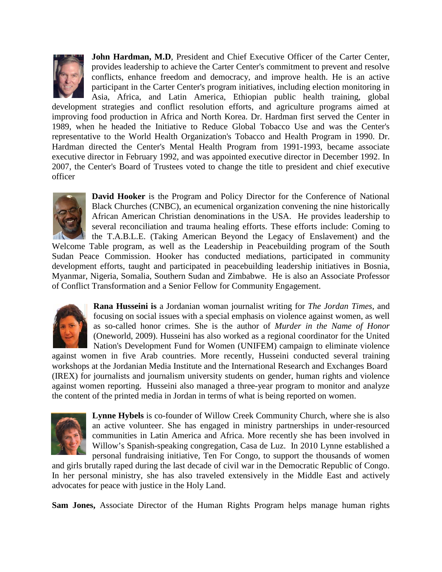

**John Hardman, M.D.** President and Chief Executive Officer of the Carter Center, provides leadership to achieve the Carter Center's commitment to prevent and resolve conflicts, enhance freedom and democracy, and improve health. He is an active participant in the Carter Center's program initiatives, including election monitoring in Asia, Africa, and Latin America, Ethiopian public health training, global

development strategies and conflict resolution efforts, and agriculture programs aimed at improving food production in Africa and North Korea. Dr. Hardman first served the Center in 1989, when he headed the Initiative to Reduce Global Tobacco Use and was the Center's representative to the World Health Organization's Tobacco and Health Program in 1990. Dr. Hardman directed the Center's Mental Health Program from 1991-1993, became associate executive director in February 1992, and was appointed executive director in December 1992. In 2007, the Center's Board of Trustees voted to change the title to president and chief executive officer



**David Hooker** is the Program and Policy Director for the Conference of National Black Churches (CNBC), an ecumenical organization convening the nine historically African American Christian denominations in the USA. He provides leadership to several reconciliation and trauma healing efforts. These efforts include: Coming to the T.A.B.L.E. (Taking American Beyond the Legacy of Enslavement) and the

Welcome Table program, as well as the Leadership in Peacebuilding program of the South Sudan Peace Commission. Hooker has conducted mediations, participated in community development efforts, taught and participated in peacebuilding leadership initiatives in Bosnia, Myanmar, Nigeria, Somalia, Southern Sudan and Zimbabwe. He is also an Associate Professor of Conflict Transformation and a Senior Fellow for Community Engagement.



**Rana Husseini is** a Jordanian woman journalist writing for *The Jordan Times*, and focusing on social issues with a special emphasis on violence against women, as well as so-called honor crimes. She is the author of *Murder in the Name of Honor*  (Oneworld, 2009). Husseini has also worked as a regional coordinator for the United Nation's Development Fund for Women (UNIFEM) campaign to eliminate violence

against women in five Arab countries. More recently, Husseini conducted several training workshops at the Jordanian Media Institute and the International Research and Exchanges Board (IREX) for journalists and journalism university students on gender, human rights and violence against women reporting. Husseini also managed a three-year program to monitor and analyze the content of the printed media in Jordan in terms of what is being reported on women.



**Lynne Hybels** is co-founder of Willow Creek Community Church, where she is also an active volunteer. She has engaged in ministry partnerships in under-resourced communities in Latin America and Africa. More recently she has been involved in Willow's Spanish-speaking congregation, Casa de Luz. In 2010 Lynne established a personal fundraising initiative, Ten For Congo, to support the thousands of women

and girls brutally raped during the last decade of civil war in the Democratic Republic of Congo. In her personal ministry, she has also traveled extensively in the Middle East and actively advocates for peace with justice in the Holy Land.

**Sam Jones,** Associate Director of the Human Rights Program helps manage human rights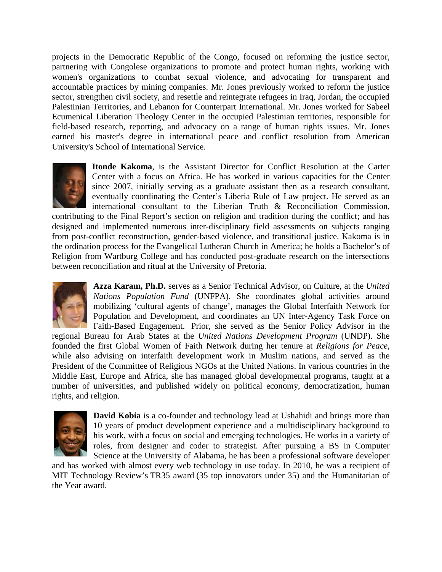projects in the Democratic Republic of the Congo, focused on reforming the justice sector, partnering with Congolese organizations to promote and protect human rights, working with women's organizations to combat sexual violence, and advocating for transparent and accountable practices by mining companies. Mr. Jones previously worked to reform the justice sector, strengthen civil society, and resettle and reintegrate refugees in Iraq, Jordan, the occupied Palestinian Territories, and Lebanon for Counterpart International. Mr. Jones worked for Sabeel Ecumenical Liberation Theology Center in the occupied Palestinian territories, responsible for field-based research, reporting, and advocacy on a range of human rights issues. Mr. Jones earned his master's degree in international peace and conflict resolution from American University's School of International Service.



**Itonde Kakoma**, is the Assistant Director for Conflict Resolution at the Carter Center with a focus on Africa. He has worked in various capacities for the Center since 2007, initially serving as a graduate assistant then as a research consultant, eventually coordinating the Center's Liberia Rule of Law project. He served as an international consultant to the Liberian Truth & Reconciliation Commission,

contributing to the Final Report's section on religion and tradition during the conflict; and has designed and implemented numerous inter-disciplinary field assessments on subjects ranging from post-conflict reconstruction, gender-based violence, and transitional justice. Kakoma is in the ordination process for the Evangelical Lutheran Church in America; he holds a Bachelor's of Religion from Wartburg College and has conducted post-graduate research on the intersections between reconciliation and ritual at the University of Pretoria.



**Azza Karam, Ph.D.** serves as a Senior Technical Advisor, on Culture, at the *United Nations Population Fund* (UNFPA). She coordinates global activities around mobilizing 'cultural agents of change', manages the Global Interfaith Network for Population and Development, and coordinates an UN Inter-Agency Task Force on Faith-Based Engagement. Prior, she served as the Senior Policy Advisor in the

regional Bureau for Arab States at the *United Nations Development Program* (UNDP). She founded the first Global Women of Faith Network during her tenure at *Religions for Peace,*  while also advising on interfaith development work in Muslim nations, and served as the President of the Committee of Religious NGOs at the United Nations. In various countries in the Middle East, Europe and Africa, she has managed global developmental programs, taught at a number of universities, and published widely on political economy, democratization, human rights, and religion.



**David Kobia** is a co-founder and technology lead at Ushahidi and brings more than 10 years of product development experience and a multidisciplinary background to his work, with a focus on social and emerging technologies. He works in a variety of roles, from designer and coder to strategist. After pursuing a BS in Computer Science at the University of Alabama, he has been a professional software developer

and has worked with almost every web technology in use today. In 2010, he was a recipient of MIT Technology Review's TR35 award (35 top innovators under 35) and the Humanitarian of the Year award.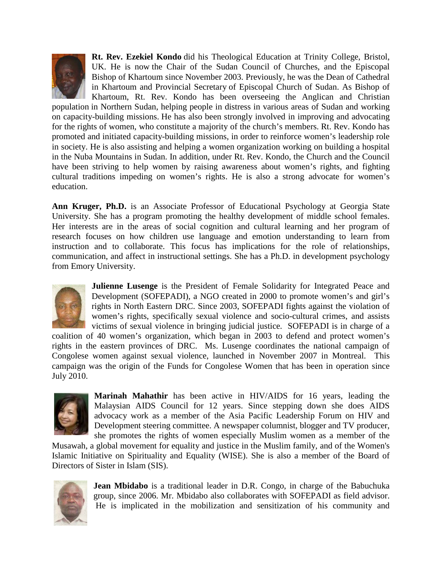

**Rt. Rev. Ezekiel Kondo** did his Theological Education at Trinity College, Bristol, UK. He is now the Chair of the Sudan Council of Churches, and the Episcopal Bishop of Khartoum since November 2003. Previously, he was the Dean of Cathedral in Khartoum and Provincial Secretary of Episcopal Church of Sudan. As Bishop of Khartoum, Rt. Rev. Kondo has been overseeing the Anglican and Christian

population in Northern Sudan, helping people in distress in various areas of Sudan and working on capacity-building missions. He has also been strongly involved in improving and advocating for the rights of women, who constitute a majority of the church's members. Rt. Rev. Kondo has promoted and initiated capacity-building missions, in order to reinforce women's leadership role in society. He is also assisting and helping a women organization working on building a hospital in the Nuba Mountains in Sudan. In addition, under Rt. Rev. Kondo, the Church and the Council have been striving to help women by raising awareness about women's rights, and fighting cultural traditions impeding on women's rights. He is also a strong advocate for women's education.

**Ann Kruger, Ph.D.** is an Associate Professor of Educational Psychology at Georgia State University. She has a program promoting the healthy development of middle school females. Her interests are in the areas of social cognition and cultural learning and her program of research focuses on how children use language and emotion understanding to learn from instruction and to collaborate. This focus has implications for the role of relationships, communication, and affect in instructional settings. She has a Ph.D. in development psychology from Emory University.



**Julienne Lusenge** is the President of Female Solidarity for Integrated Peace and Development (SOFEPADI), a NGO created in 2000 to promote women's and girl's rights in North Eastern DRC. Since 2003, SOFEPADI fights against the violation of women's rights, specifically sexual violence and socio-cultural crimes, and assists victims of sexual violence in bringing judicial justice. SOFEPADI is in charge of a

coalition of 40 women's organization, which began in 2003 to defend and protect women's rights in the eastern provinces of DRC. Ms. Lusenge coordinates the national campaign of Congolese women against sexual violence, launched in November 2007 in Montreal. This campaign was the origin of the Funds for Congolese Women that has been in operation since July 2010.



**Marinah Mahathir** has been active in HIV/AIDS for 16 years, leading the Malaysian AIDS Council for 12 years. Since stepping down she does AIDS advocacy work as a member of the Asia Pacific Leadership Forum on HIV and Development steering committee. A newspaper columnist, blogger and TV producer, she promotes the rights of women especially Muslim women as a member of the

Musawah, a global movement for equality and justice in the Muslim family, and of the Women's Islamic Initiative on Spirituality and Equality (WISE). She is also a member of the Board of Directors of Sister in Islam (SIS).



**Jean Mbidabo** is a traditional leader in D.R. Congo, in charge of the Babuchuka group, since 2006. Mr. Mbidabo also collaborates with SOFEPADI as field advisor. He is implicated in the mobilization and sensitization of his community and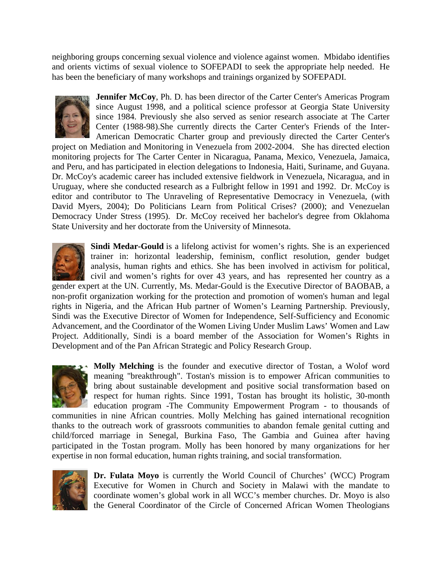neighboring groups concerning sexual violence and violence against women. Mbidabo identifies and orients victims of sexual violence to SOFEPADI to seek the appropriate help needed. He has been the beneficiary of many workshops and trainings organized by SOFEPADI.



**Jennifer McCoy, Ph. D. has been director of the Carter Center's Americas Program** since August 1998, and a political science professor at Georgia State University since 1984. Previously she also served as senior research associate at The Carter Center (1988-98).She currently directs the Carter Center's Friends of the Inter-American Democratic Charter group and previously directed the Carter Center's

project on Mediation and Monitoring in Venezuela from 2002-2004. She has directed election monitoring projects for The Carter Center in Nicaragua, Panama, Mexico, Venezuela, Jamaica, and Peru, and has participated in election delegations to Indonesia, Haiti, Suriname, and Guyana. Dr. McCoy's academic career has included extensive fieldwork in Venezuela, Nicaragua, and in Uruguay, where she conducted research as a Fulbright fellow in 1991 and 1992. Dr. McCoy is editor and contributor to The Unraveling of Representative Democracy in Venezuela, (with David Myers, 2004); Do Politicians Learn from Political Crises? (2000); and Venezuelan Democracy Under Stress (1995). Dr. McCoy received her bachelor's degree from Oklahoma State University and her doctorate from the University of Minnesota.



**Sindi Medar-Gould** is a lifelong activist for women's rights. She is an experienced trainer in: horizontal leadership, feminism, conflict resolution, gender budget analysis, human rights and ethics. She has been involved in activism for political, civil and women's rights for over 43 years, and has represented her country as a

gender expert at the UN. Currently, Ms. Medar-Gould is the Executive Director of BAOBAB, a non-profit organization working for the protection and promotion of women's human and legal rights in Nigeria, and the African Hub partner of Women's Learning Partnership. Previously, Sindi was the Executive Director of Women for Independence, Self-Sufficiency and Economic Advancement, and the Coordinator of the Women Living Under Muslim Laws' Women and Law Project. Additionally, Sindi is a board member of the Association for Women's Rights in Development and of the Pan African Strategic and Policy Research Group.



**Molly Melching** is the founder and executive director of Tostan, a Wolof word meaning "breakthrough". Tostan's mission is to empower African communities to bring about sustainable development and positive social transformation based on respect for human rights. Since 1991, Tostan has brought its holistic, 30-month education program -The Community Empowerment Program - to thousands of

communities in nine African countries. Molly Melching has gained international recognition thanks to the outreach work of grassroots communities to abandon female genital cutting and child/forced marriage in Senegal, Burkina Faso, The Gambia and Guinea after having participated in the Tostan program. Molly has been honored by many organizations for her expertise in non formal education, human rights training, and social transformation.



**Dr. Fulata Moyo** is currently the World Council of Churches' (WCC) Program Executive for Women in Church and Society in Malawi with the mandate to coordinate women's global work in all WCC's member churches. Dr. Moyo is also the General Coordinator of the Circle of Concerned African Women Theologians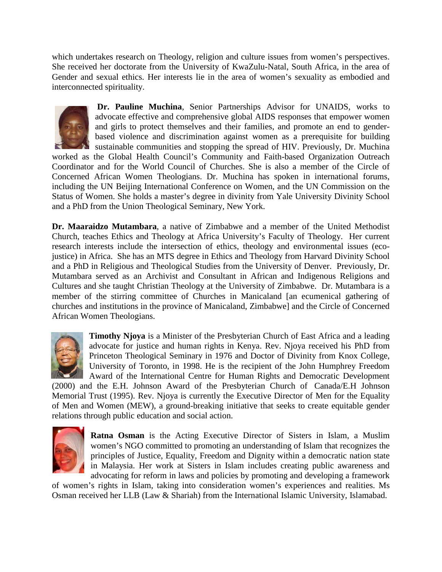which undertakes research on Theology, religion and culture issues from women's perspectives. She received her doctorate from the University of KwaZulu-Natal, South Africa, in the area of Gender and sexual ethics. Her interests lie in the area of women's sexuality as embodied and interconnected spirituality.



**Dr. Pauline Muchina**, Senior Partnerships Advisor for UNAIDS, works to advocate effective and comprehensive global AIDS responses that empower women and girls to protect themselves and their families, and promote an end to genderbased violence and discrimination against women as a prerequisite for building sustainable communities and stopping the spread of HIV. Previously, Dr. Muchina

worked as the Global Health Council's Community and Faith-based Organization Outreach Coordinator and for the World Council of Churches. She is also a member of the Circle of Concerned African Women Theologians. Dr. Muchina has spoken in international forums, including the UN Beijing International Conference on Women, and the UN Commission on the Status of Women. She holds a master's degree in divinity from Yale University Divinity School and a PhD from the Union Theological Seminary, New York.

**Dr. Maaraidzo Mutambara**, a native of Zimbabwe and a member of the United Methodist Church, teaches Ethics and Theology at Africa University's Faculty of Theology. Her current research interests include the intersection of ethics, theology and environmental issues (ecojustice) in Africa. She has an MTS degree in Ethics and Theology from Harvard Divinity School and a PhD in Religious and Theological Studies from the University of Denver. Previously, Dr. Mutambara served as an Archivist and Consultant in African and Indigenous Religions and Cultures and she taught Christian Theology at the University of Zimbabwe. Dr. Mutambara is a member of the stirring committee of Churches in Manicaland [an ecumenical gathering of churches and institutions in the province of Manicaland, Zimbabwe] and the Circle of Concerned African Women Theologians.



**Timothy Njoya** is a Minister of the Presbyterian Church of East Africa and a leading advocate for justice and human rights in Kenya. Rev. Njoya received his PhD from Princeton Theological Seminary in 1976 and Doctor of Divinity from Knox College, University of Toronto, in 1998. He is the recipient of the John Humphrey Freedom Award of the International Centre for Human Rights and Democratic Development

(2000) and the E.H. Johnson Award of the Presbyterian Church of Canada/E.H Johnson Memorial Trust (1995). Rev. Njoya is currently the Executive Director of Men for the Equality of Men and Women (MEW), a ground-breaking initiative that seeks to create equitable gender relations through public education and social action.



**Ratna Osman** is the Acting Executive Director of Sisters in Islam, a Muslim women's NGO committed to promoting an understanding of Islam that recognizes the principles of Justice, Equality, Freedom and Dignity within a democratic nation state in Malaysia. Her work at Sisters in Islam includes creating public awareness and advocating for reform in laws and policies by promoting and developing a framework

of women's rights in Islam, taking into consideration women's experiences and realities. Ms Osman received her LLB (Law & Shariah) from the International Islamic University, Islamabad.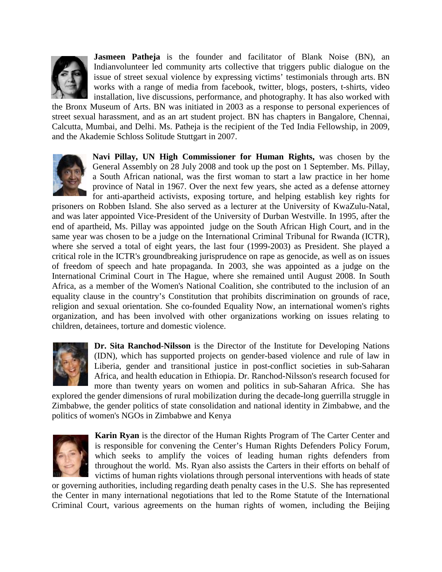

**Jasmeen Patheja** is the founder and facilitator of Blank Noise (BN), an Indianvolunteer led community arts collective that triggers public dialogue on the issue of street sexual violence by expressing victims' testimonials through arts. BN works with a range of media from facebook, twitter, blogs, posters, t-shirts, video installation, live discussions, performance, and photography. It has also worked with

the Bronx Museum of Arts. BN was initiated in 2003 as a response to personal experiences of street sexual harassment, and as an art student project. BN has chapters in Bangalore, Chennai, Calcutta, Mumbai, and Delhi. Ms. Patheja is the recipient of the Ted India Fellowship, in 2009, and the Akademie Schloss Solitude Stuttgart in 2007.



**Navi Pillay, UN High Commissioner for Human Rights,** was chosen by the General Assembly on 28 July 2008 and took up the post on 1 September. Ms. Pillay, a South African national, was the first woman to start a law practice in her home province of Natal in 1967. Over the next few years, she acted as a defense attorney for anti-apartheid activists, exposing torture, and helping establish key rights for

prisoners on Robben Island. She also served as a lecturer at the University of KwaZulu-Natal, and was later appointed Vice-President of the University of Durban Westville. In 1995, after the end of apartheid, Ms. Pillay was appointed judge on the South African High Court, and in the same year was chosen to be a judge on the International Criminal Tribunal for Rwanda (ICTR), where she served a total of eight years, the last four (1999-2003) as President. She played a critical role in the ICTR's groundbreaking jurisprudence on rape as genocide, as well as on issues of freedom of speech and hate propaganda. In 2003, she was appointed as a judge on the International Criminal Court in The Hague, where she remained until August 2008. In South Africa, as a member of the Women's National Coalition, she contributed to the inclusion of an equality clause in the country's Constitution that prohibits discrimination on grounds of race, religion and sexual orientation. She co-founded Equality Now, an international women's rights organization, and has been involved with other organizations working on issues relating to children, detainees, torture and domestic violence.



**Dr. Sita Ranchod-Nilsson** is the Director of the Institute for Developing Nations (IDN), which has supported projects on gender-based violence and rule of law in Liberia, gender and transitional justice in post-conflict societies in sub-Saharan Africa, and health education in Ethiopia. Dr. Ranchod-Nilsson's research focused for more than twenty years on women and politics in sub-Saharan Africa. She has

explored the gender dimensions of rural mobilization during the decade-long guerrilla struggle in Zimbabwe, the gender politics of state consolidation and national identity in Zimbabwe, and the politics of women's NGOs in Zimbabwe and Kenya



**Karin Ryan** is the director of the Human Rights Program of The Carter Center and is responsible for convening the Center's Human Rights Defenders Policy Forum, which seeks to amplify the voices of leading human rights defenders from throughout the world. Ms. Ryan also assists the Carters in their efforts on behalf of victims of human rights violations through personal interventions with heads of state

or governing authorities, including regarding death penalty cases in the U.S. She has represented the Center in many international negotiations that led to the Rome Statute of the International Criminal Court, various agreements on the human rights of women, including the Beijing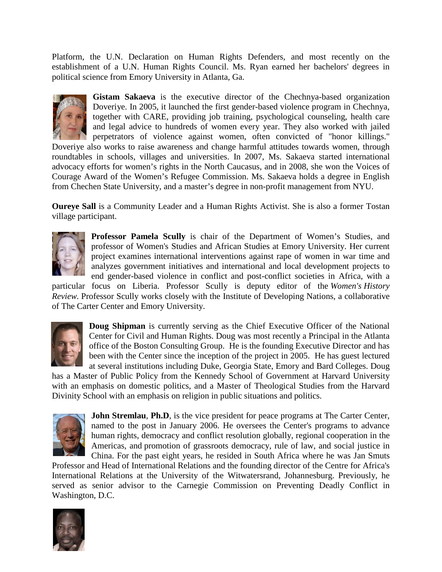Platform, the U.N. Declaration on Human Rights Defenders, and most recently on the establishment of a U.N. Human Rights Council. Ms. Ryan earned her bachelors' degrees in political science from Emory University in Atlanta, Ga.



**Gistam Sakaeva** is the executive director of the Chechnya-based organization Doveriye. In 2005, it launched the first gender-based violence program in Chechnya, together with CARE, providing job training, psychological counseling, health care and legal advice to hundreds of women every year. They also worked with jailed perpetrators of violence against women, often convicted of "honor killings."

Doveriye also works to raise awareness and change harmful attitudes towards women, through roundtables in schools, villages and universities. In 2007, Ms. Sakaeva started international advocacy efforts for women's rights in the North Caucasus, and in 2008, she won the Voices of Courage Award of the Women's Refugee Commission. Ms. Sakaeva holds a degree in English from Chechen State University, and a master's degree in non-profit management from NYU.

**Oureye Sall** is a Community Leader and a Human Rights Activist. She is also a former Tostan village participant.



**Professor Pamela Scully** is chair of the Department of Women's Studies, and professor of Women's Studies and African Studies at Emory University. Her current project examines international interventions against rape of women in war time and analyzes government initiatives and international and local development projects to end gender-based violence in conflict and post-conflict societies in Africa, with a

particular focus on Liberia. Professor Scully is deputy editor of the *Women's History Review.* Professor Scully works closely with the Institute of Developing Nations, a collaborative of The Carter Center and Emory University.



**Doug Shipman** is currently serving as the Chief Executive Officer of the National Center for Civil and Human Rights. Doug was most recently a Principal in the Atlanta office of the Boston Consulting Group. He is the founding Executive Director and has been with the Center since the inception of the project in 2005. He has guest lectured at several institutions including Duke, Georgia State, Emory and Bard Colleges. Doug

has a Master of Public Policy from the Kennedy School of Government at Harvard University with an emphasis on domestic politics, and a Master of Theological Studies from the Harvard Divinity School with an emphasis on religion in public situations and politics.



**John Stremlau, Ph.D**, is the vice president for peace programs at The Carter Center, named to the post in January 2006. He oversees the Center's programs to advance human rights, democracy and conflict resolution globally, regional cooperation in the Americas, and promotion of grassroots democracy, rule of law, and social justice in China. For the past eight years, he resided in South Africa where he was Jan Smuts

Professor and Head of International Relations and the founding director of the Centre for Africa's International Relations at the University of the Witwatersrand, Johannesburg. Previously, he served as senior advisor to the Carnegie Commission on Preventing Deadly Conflict in Washington, D.C.

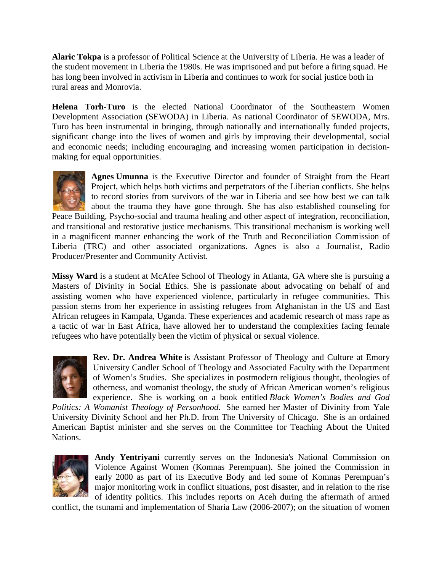**Alaric Tokpa** is a professor of Political Science at the University of Liberia. He was a leader of the student movement in Liberia the 1980s. He was imprisoned and put before a firing squad. He has long been involved in activism in Liberia and continues to work for social justice both in rural areas and Monrovia.

**Helena Torh-Turo** is the elected National Coordinator of the Southeastern Women Development Association (SEWODA) in Liberia. As national Coordinator of SEWODA, Mrs. Turo has been instrumental in bringing, through nationally and internationally funded projects, significant change into the lives of women and girls by improving their developmental, social and economic needs; including encouraging and increasing women participation in decisionmaking for equal opportunities.



**Agnes Umunna** is the Executive Director and founder of Straight from the Heart Project, which helps both victims and perpetrators of the Liberian conflicts. She helps to record stories from survivors of the war in Liberia and see how best we can talk about the trauma they have gone through. She has also established counseling for

Peace Building, Psycho-social and trauma healing and other aspect of integration, reconciliation, and transitional and restorative justice mechanisms. This transitional mechanism is working well in a magnificent manner enhancing the work of the Truth and Reconciliation Commission of Liberia (TRC) and other associated organizations. Agnes is also a Journalist, Radio Producer/Presenter and Community Activist.

**Missy Ward** is a student at McAfee School of Theology in Atlanta, GA where she is pursuing a Masters of Divinity in Social Ethics. She is passionate about advocating on behalf of and assisting women who have experienced violence, particularly in refugee communities. This passion stems from her experience in assisting refugees from Afghanistan in the US and East African refugees in Kampala, Uganda. These experiences and academic research of mass rape as a tactic of war in East Africa, have allowed her to understand the complexities facing female refugees who have potentially been the victim of physical or sexual violence.



**Rev. Dr. Andrea White** is Assistant Professor of Theology and Culture at Emory University Candler School of Theology and Associated Faculty with the Department of Women's Studies. She specializes in postmodern religious thought, theologies of otherness, and womanist theology, the study of African American women's religious experience. She is working on a book entitled *Black Women's Bodies and God* 

*Politics: A Womanist Theology of Personhood*. She earned her Master of Divinity from Yale University Divinity School and her Ph.D. from The University of Chicago. She is an ordained American Baptist minister and she serves on the Committee for Teaching About the United Nations.



**Andy Yentriyani** currently serves on the Indonesia's National Commission on Violence Against Women (Komnas Perempuan). She joined the Commission in early 2000 as part of its Executive Body and led some of Komnas Perempuan's major monitoring work in conflict situations, post disaster, and in relation to the rise of identity politics. This includes reports on Aceh during the aftermath of armed

conflict, the tsunami and implementation of Sharia Law (2006-2007); on the situation of women